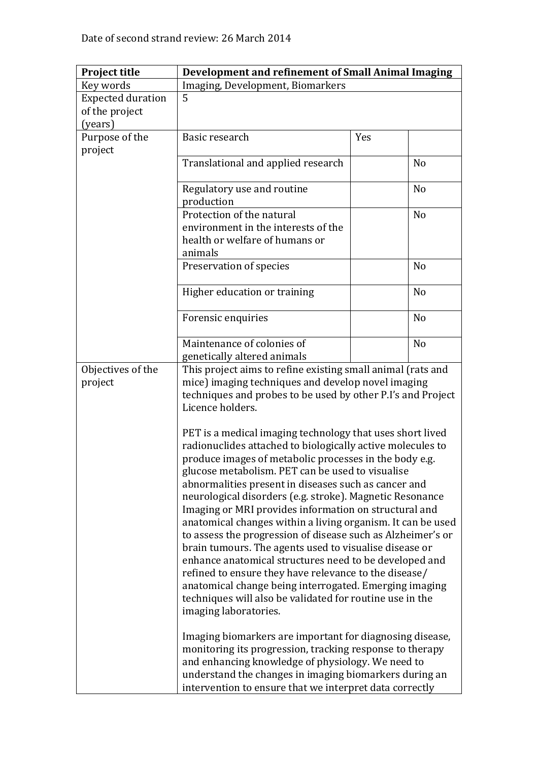| <b>Project title</b>     | Development and refinement of Small Animal Imaging          |     |                |
|--------------------------|-------------------------------------------------------------|-----|----------------|
| Key words                | Imaging, Development, Biomarkers                            |     |                |
| <b>Expected duration</b> | 5                                                           |     |                |
| of the project           |                                                             |     |                |
| (years)                  |                                                             |     |                |
| Purpose of the           | Basic research                                              | Yes |                |
| project                  |                                                             |     |                |
|                          | Translational and applied research                          |     | N <sub>o</sub> |
|                          |                                                             |     |                |
|                          | Regulatory use and routine                                  |     | N <sub>0</sub> |
|                          | production                                                  |     |                |
|                          | Protection of the natural                                   |     | N <sub>o</sub> |
|                          | environment in the interests of the                         |     |                |
|                          | health or welfare of humans or                              |     |                |
|                          | animals                                                     |     |                |
|                          | Preservation of species                                     |     | N <sub>o</sub> |
|                          |                                                             |     |                |
|                          | Higher education or training                                |     | N <sub>o</sub> |
|                          |                                                             |     |                |
|                          | Forensic enquiries                                          |     | N <sub>0</sub> |
|                          |                                                             |     |                |
|                          | Maintenance of colonies of                                  |     | N <sub>o</sub> |
|                          | genetically altered animals                                 |     |                |
| Objectives of the        | This project aims to refine existing small animal (rats and |     |                |
| project                  | mice) imaging techniques and develop novel imaging          |     |                |
|                          | techniques and probes to be used by other P.I's and Project |     |                |
|                          | Licence holders.                                            |     |                |
|                          |                                                             |     |                |
|                          | PET is a medical imaging technology that uses short lived   |     |                |
|                          | radionuclides attached to biologically active molecules to  |     |                |
|                          | produce images of metabolic processes in the body e.g.      |     |                |
|                          | glucose metabolism. PET can be used to visualise            |     |                |
|                          | abnormalities present in diseases such as cancer and        |     |                |
|                          | neurological disorders (e.g. stroke). Magnetic Resonance    |     |                |
|                          | Imaging or MRI provides information on structural and       |     |                |
|                          | anatomical changes within a living organism. It can be used |     |                |
|                          | to assess the progression of disease such as Alzheimer's or |     |                |
|                          | brain tumours. The agents used to visualise disease or      |     |                |
|                          | enhance anatomical structures need to be developed and      |     |                |
|                          | refined to ensure they have relevance to the disease/       |     |                |
|                          | anatomical change being interrogated. Emerging imaging      |     |                |
|                          | techniques will also be validated for routine use in the    |     |                |
|                          | imaging laboratories.                                       |     |                |
|                          |                                                             |     |                |
|                          | Imaging biomarkers are important for diagnosing disease,    |     |                |
|                          | monitoring its progression, tracking response to therapy    |     |                |
|                          | and enhancing knowledge of physiology. We need to           |     |                |
|                          | understand the changes in imaging biomarkers during an      |     |                |
|                          | intervention to ensure that we interpret data correctly     |     |                |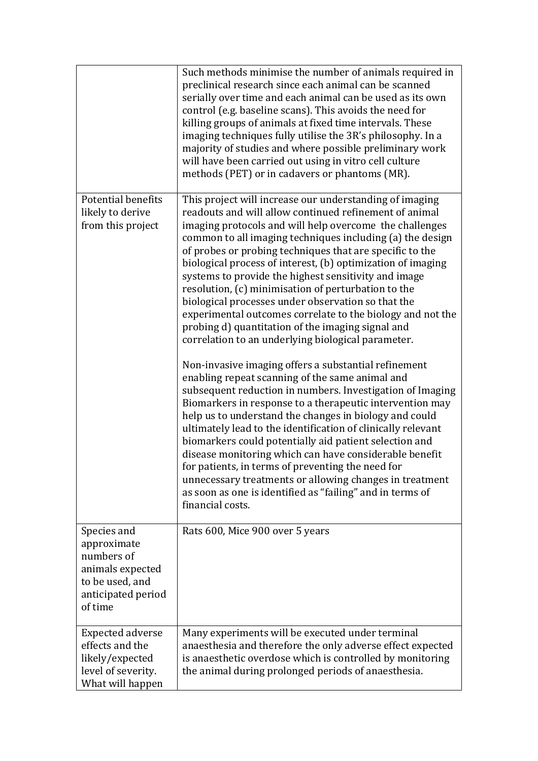|                                                                                                                  | Such methods minimise the number of animals required in<br>preclinical research since each animal can be scanned<br>serially over time and each animal can be used as its own<br>control (e.g. baseline scans). This avoids the need for<br>killing groups of animals at fixed time intervals. These<br>imaging techniques fully utilise the 3R's philosophy. In a<br>majority of studies and where possible preliminary work<br>will have been carried out using in vitro cell culture<br>methods (PET) or in cadavers or phantoms (MR).                                                                                                                                                                          |
|------------------------------------------------------------------------------------------------------------------|--------------------------------------------------------------------------------------------------------------------------------------------------------------------------------------------------------------------------------------------------------------------------------------------------------------------------------------------------------------------------------------------------------------------------------------------------------------------------------------------------------------------------------------------------------------------------------------------------------------------------------------------------------------------------------------------------------------------|
| Potential benefits<br>likely to derive<br>from this project                                                      | This project will increase our understanding of imaging<br>readouts and will allow continued refinement of animal<br>imaging protocols and will help overcome the challenges<br>common to all imaging techniques including (a) the design<br>of probes or probing techniques that are specific to the<br>biological process of interest, (b) optimization of imaging<br>systems to provide the highest sensitivity and image<br>resolution, (c) minimisation of perturbation to the<br>biological processes under observation so that the<br>experimental outcomes correlate to the biology and not the<br>probing d) quantitation of the imaging signal and<br>correlation to an underlying biological parameter. |
|                                                                                                                  | Non-invasive imaging offers a substantial refinement<br>enabling repeat scanning of the same animal and<br>subsequent reduction in numbers. Investigation of Imaging<br>Biomarkers in response to a therapeutic intervention may<br>help us to understand the changes in biology and could<br>ultimately lead to the identification of clinically relevant<br>biomarkers could potentially aid patient selection and<br>disease monitoring which can have considerable benefit<br>for patients, in terms of preventing the need for<br>unnecessary treatments or allowing changes in treatment<br>as soon as one is identified as "failing" and in terms of<br>financial costs.                                    |
| Species and<br>approximate<br>numbers of<br>animals expected<br>to be used, and<br>anticipated period<br>of time | Rats 600, Mice 900 over 5 years                                                                                                                                                                                                                                                                                                                                                                                                                                                                                                                                                                                                                                                                                    |
| <b>Expected adverse</b><br>effects and the<br>likely/expected<br>level of severity.<br>What will happen          | Many experiments will be executed under terminal<br>anaesthesia and therefore the only adverse effect expected<br>is anaesthetic overdose which is controlled by monitoring<br>the animal during prolonged periods of anaesthesia.                                                                                                                                                                                                                                                                                                                                                                                                                                                                                 |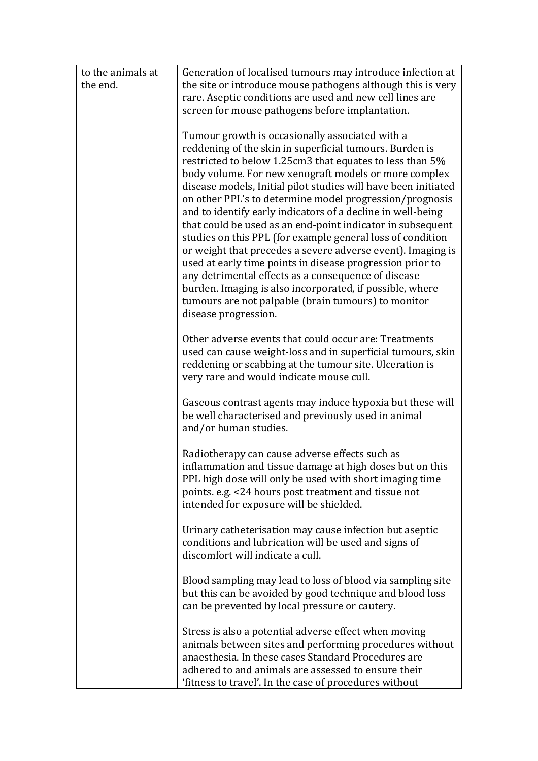| to the animals at | Generation of localised tumours may introduce infection at                                                      |  |
|-------------------|-----------------------------------------------------------------------------------------------------------------|--|
| the end.          | the site or introduce mouse pathogens although this is very                                                     |  |
|                   | rare. Aseptic conditions are used and new cell lines are                                                        |  |
|                   | screen for mouse pathogens before implantation.                                                                 |  |
|                   |                                                                                                                 |  |
|                   | Tumour growth is occasionally associated with a                                                                 |  |
|                   | reddening of the skin in superficial tumours. Burden is                                                         |  |
|                   | restricted to below 1.25cm3 that equates to less than 5%                                                        |  |
|                   | body volume. For new xenograft models or more complex                                                           |  |
|                   | disease models, Initial pilot studies will have been initiated                                                  |  |
|                   | on other PPL's to determine model progression/prognosis                                                         |  |
|                   | and to identify early indicators of a decline in well-being                                                     |  |
|                   | that could be used as an end-point indicator in subsequent                                                      |  |
|                   | studies on this PPL (for example general loss of condition                                                      |  |
|                   | or weight that precedes a severe adverse event). Imaging is                                                     |  |
|                   | used at early time points in disease progression prior to                                                       |  |
|                   | any detrimental effects as a consequence of disease                                                             |  |
|                   | burden. Imaging is also incorporated, if possible, where<br>tumours are not palpable (brain tumours) to monitor |  |
|                   | disease progression.                                                                                            |  |
|                   |                                                                                                                 |  |
|                   | Other adverse events that could occur are: Treatments                                                           |  |
|                   | used can cause weight-loss and in superficial tumours, skin                                                     |  |
|                   | reddening or scabbing at the tumour site. Ulceration is                                                         |  |
|                   | very rare and would indicate mouse cull.                                                                        |  |
|                   |                                                                                                                 |  |
|                   | Gaseous contrast agents may induce hypoxia but these will                                                       |  |
|                   | be well characterised and previously used in animal                                                             |  |
|                   | and/or human studies.                                                                                           |  |
|                   | Radiotherapy can cause adverse effects such as                                                                  |  |
|                   | inflammation and tissue damage at high doses but on this                                                        |  |
|                   | PPL high dose will only be used with short imaging time                                                         |  |
|                   | points. e.g. <24 hours post treatment and tissue not                                                            |  |
|                   | intended for exposure will be shielded.                                                                         |  |
|                   |                                                                                                                 |  |
|                   | Urinary catheterisation may cause infection but aseptic                                                         |  |
|                   | conditions and lubrication will be used and signs of                                                            |  |
|                   | discomfort will indicate a cull.                                                                                |  |
|                   |                                                                                                                 |  |
|                   | Blood sampling may lead to loss of blood via sampling site                                                      |  |
|                   | but this can be avoided by good technique and blood loss                                                        |  |
|                   | can be prevented by local pressure or cautery.                                                                  |  |
|                   | Stress is also a potential adverse effect when moving                                                           |  |
|                   | animals between sites and performing procedures without                                                         |  |
|                   | anaesthesia. In these cases Standard Procedures are                                                             |  |
|                   | adhered to and animals are assessed to ensure their                                                             |  |
|                   | 'fitness to travel'. In the case of procedures without                                                          |  |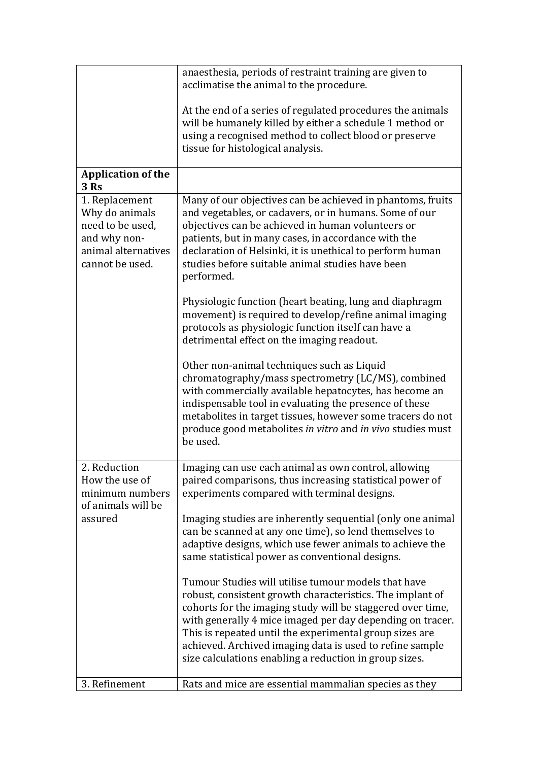|                                                                                                                | anaesthesia, periods of restraint training are given to<br>acclimatise the animal to the procedure.                                                                                                                                                                                                                                                                                                                          |
|----------------------------------------------------------------------------------------------------------------|------------------------------------------------------------------------------------------------------------------------------------------------------------------------------------------------------------------------------------------------------------------------------------------------------------------------------------------------------------------------------------------------------------------------------|
|                                                                                                                | At the end of a series of regulated procedures the animals<br>will be humanely killed by either a schedule 1 method or<br>using a recognised method to collect blood or preserve<br>tissue for histological analysis.                                                                                                                                                                                                        |
| <b>Application of the</b><br>3Rs                                                                               |                                                                                                                                                                                                                                                                                                                                                                                                                              |
| 1. Replacement<br>Why do animals<br>need to be used,<br>and why non-<br>animal alternatives<br>cannot be used. | Many of our objectives can be achieved in phantoms, fruits<br>and vegetables, or cadavers, or in humans. Some of our<br>objectives can be achieved in human volunteers or<br>patients, but in many cases, in accordance with the<br>declaration of Helsinki, it is unethical to perform human<br>studies before suitable animal studies have been<br>performed.                                                              |
|                                                                                                                | Physiologic function (heart beating, lung and diaphragm<br>movement) is required to develop/refine animal imaging<br>protocols as physiologic function itself can have a<br>detrimental effect on the imaging readout.                                                                                                                                                                                                       |
|                                                                                                                | Other non-animal techniques such as Liquid<br>chromatography/mass spectrometry (LC/MS), combined<br>with commercially available hepatocytes, has become an<br>indispensable tool in evaluating the presence of these<br>metabolites in target tissues, however some tracers do not<br>produce good metabolites in vitro and in vivo studies must<br>be used.                                                                 |
| 2. Reduction<br>How the use of<br>minimum numbers<br>of animals will be                                        | Imaging can use each animal as own control, allowing<br>paired comparisons, thus increasing statistical power of<br>experiments compared with terminal designs.                                                                                                                                                                                                                                                              |
| assured                                                                                                        | Imaging studies are inherently sequential (only one animal<br>can be scanned at any one time), so lend themselves to<br>adaptive designs, which use fewer animals to achieve the<br>same statistical power as conventional designs.                                                                                                                                                                                          |
|                                                                                                                | Tumour Studies will utilise tumour models that have<br>robust, consistent growth characteristics. The implant of<br>cohorts for the imaging study will be staggered over time,<br>with generally 4 mice imaged per day depending on tracer.<br>This is repeated until the experimental group sizes are<br>achieved. Archived imaging data is used to refine sample<br>size calculations enabling a reduction in group sizes. |
| 3. Refinement                                                                                                  | Rats and mice are essential mammalian species as they                                                                                                                                                                                                                                                                                                                                                                        |